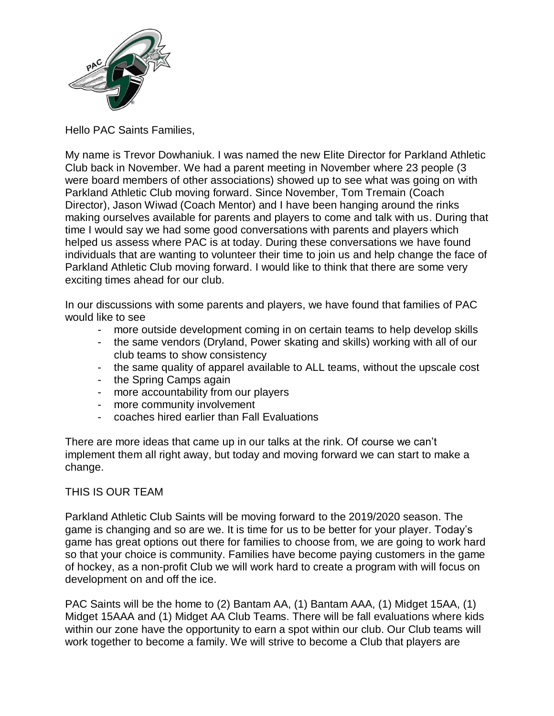

Hello PAC Saints Families,

My name is Trevor Dowhaniuk. I was named the new Elite Director for Parkland Athletic Club back in November. We had a parent meeting in November where 23 people (3 were board members of other associations) showed up to see what was going on with Parkland Athletic Club moving forward. Since November, Tom Tremain (Coach Director), Jason Wiwad (Coach Mentor) and I have been hanging around the rinks making ourselves available for parents and players to come and talk with us. During that time I would say we had some good conversations with parents and players which helped us assess where PAC is at today. During these conversations we have found individuals that are wanting to volunteer their time to join us and help change the face of Parkland Athletic Club moving forward. I would like to think that there are some very exciting times ahead for our club.

In our discussions with some parents and players, we have found that families of PAC would like to see

- more outside development coming in on certain teams to help develop skills
- the same vendors (Dryland, Power skating and skills) working with all of our club teams to show consistency
- the same quality of apparel available to ALL teams, without the upscale cost
- the Spring Camps again
- more accountability from our players
- more community involvement
- coaches hired earlier than Fall Evaluations

There are more ideas that came up in our talks at the rink. Of course we can't implement them all right away, but today and moving forward we can start to make a change.

## THIS IS OUR TEAM

Parkland Athletic Club Saints will be moving forward to the 2019/2020 season. The game is changing and so are we. It is time for us to be better for your player. Today's game has great options out there for families to choose from, we are going to work hard so that your choice is community. Families have become paying customers in the game of hockey, as a non-profit Club we will work hard to create a program with will focus on development on and off the ice.

PAC Saints will be the home to (2) Bantam AA, (1) Bantam AAA, (1) Midget 15AA, (1) Midget 15AAA and (1) Midget AA Club Teams. There will be fall evaluations where kids within our zone have the opportunity to earn a spot within our club. Our Club teams will work together to become a family. We will strive to become a Club that players are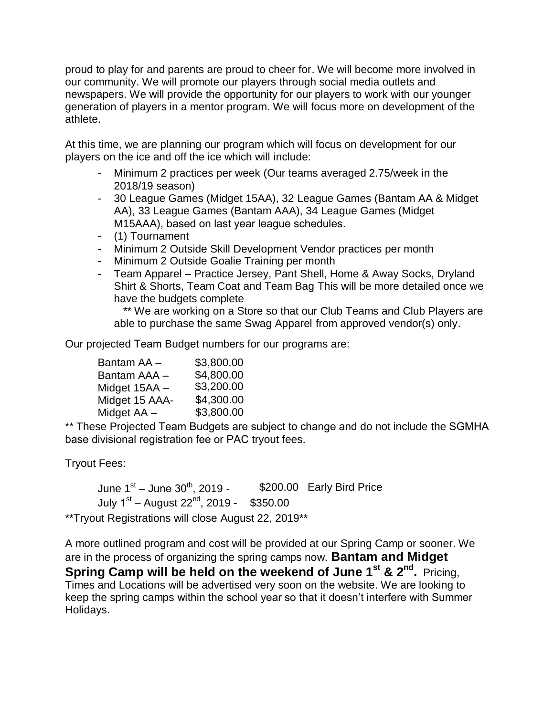proud to play for and parents are proud to cheer for. We will become more involved in our community. We will promote our players through social media outlets and newspapers. We will provide the opportunity for our players to work with our younger generation of players in a mentor program. We will focus more on development of the athlete.

At this time, we are planning our program which will focus on development for our players on the ice and off the ice which will include:

- Minimum 2 practices per week (Our teams averaged 2.75/week in the 2018/19 season)
- 30 League Games (Midget 15AA), 32 League Games (Bantam AA & Midget AA), 33 League Games (Bantam AAA), 34 League Games (Midget M15AAA), based on last year league schedules.
- (1) Tournament
- Minimum 2 Outside Skill Development Vendor practices per month
- Minimum 2 Outside Goalie Training per month
- Team Apparel Practice Jersey, Pant Shell, Home & Away Socks, Dryland Shirt & Shorts, Team Coat and Team Bag This will be more detailed once we have the budgets complete

\*\* We are working on a Store so that our Club Teams and Club Players are able to purchase the same Swag Apparel from approved vendor(s) only.

Our projected Team Budget numbers for our programs are:

| Bantam AA -    | \$3,800.00 |
|----------------|------------|
| Bantam AAA -   | \$4,800.00 |
| Midget 15AA -  | \$3,200.00 |
| Midget 15 AAA- | \$4,300.00 |
| Midget AA -    | \$3,800.00 |

\*\* These Projected Team Budgets are subject to change and do not include the SGMHA base divisional registration fee or PAC tryout fees.

Tryout Fees:

June 1<sup>st</sup> – June 30<sup>th</sup> \$200.00 Early Bird Price July 1<sup>st</sup> – August 22<sup>nd</sup>, 2019 - \$350.00

\*\*Tryout Registrations will close August 22, 2019\*\*

A more outlined program and cost will be provided at our Spring Camp or sooner. We are in the process of organizing the spring camps now. **Bantam and Midget Spring Camp will be held on the weekend of June 1<sup>st</sup> & 2<sup>nd</sup>. Pricing,** Times and Locations will be advertised very soon on the website. We are looking to keep the spring camps within the school year so that it doesn't interfere with Summer Holidays.